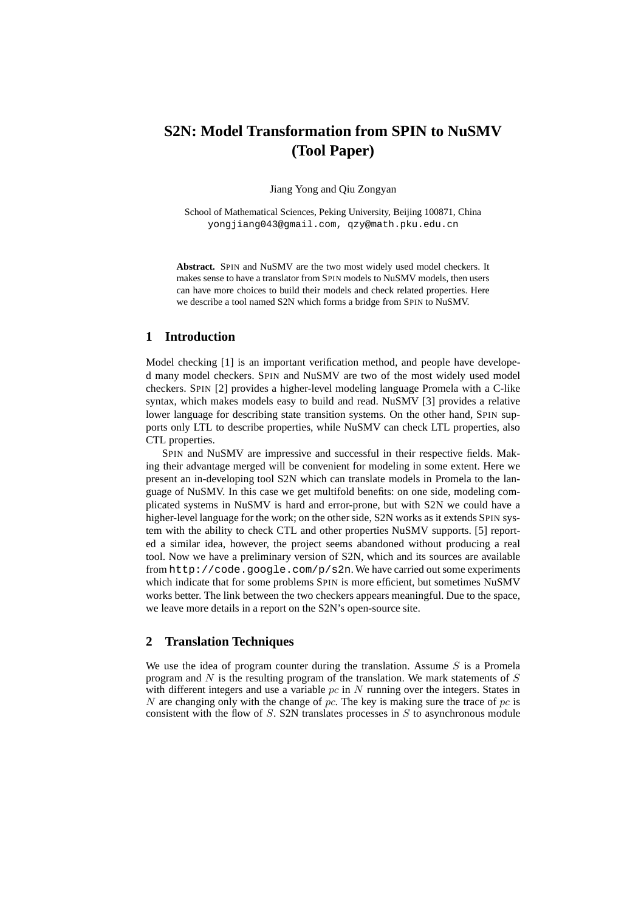# **S2N: Model Transformation from SPIN to NuSMV (Tool Paper)**

Jiang Yong and Qiu Zongyan

School of Mathematical Sciences, Peking University, Beijing 100871, China yongjiang043@gmail.com, qzy@math.pku.edu.cn

**Abstract.** SPIN and NuSMV are the two most widely used model checkers. It makes sense to have a translator from SPIN models to NuSMV models, then users can have more choices to build their models and check related properties. Here we describe a tool named S2N which forms a bridge from SPIN to NuSMV.

## **1 Introduction**

Model checking [1] is an important verification method, and people have developed many model checkers. SPIN and NuSMV are two of the most widely used model checkers. SPIN [2] provides a higher-level modeling language Promela with a C-like syntax, which makes models easy to build and read. NuSMV [3] provides a relative lower language for describing state transition systems. On the other hand, SPIN supports only LTL to describe properties, while NuSMV can check LTL properties, also CTL properties.

SPIN and NuSMV are impressive and successful in their respective fields. Making their advantage merged will be convenient for modeling in some extent. Here we present an in-developing tool S2N which can translate models in Promela to the language of NuSMV. In this case we get multifold benefits: on one side, modeling complicated systems in NuSMV is hard and error-prone, but with S2N we could have a higher-level language for the work; on the other side, S2N works as it extends SPIN system with the ability to check CTL and other properties NuSMV supports. [5] reported a similar idea, however, the project seems abandoned without producing a real tool. Now we have a preliminary version of S2N, which and its sources are available from  $http://code.qoogle.com/p/s2n.$  We have carried out some experiments which indicate that for some problems SPIN is more efficient, but sometimes NuSMV works better. The link between the two checkers appears meaningful. Due to the space, we leave more details in a report on the S2N's open-source site.

### **2 Translation Techniques**

We use the idea of program counter during the translation. Assume  $S$  is a Promela program and  $N$  is the resulting program of the translation. We mark statements of  $S$ with different integers and use a variable  $pc$  in  $N$  running over the integers. States in N are changing only with the change of  $pc$ . The key is making sure the trace of  $pc$  is consistent with the flow of  $S$ . S2N translates processes in  $S$  to asynchronous module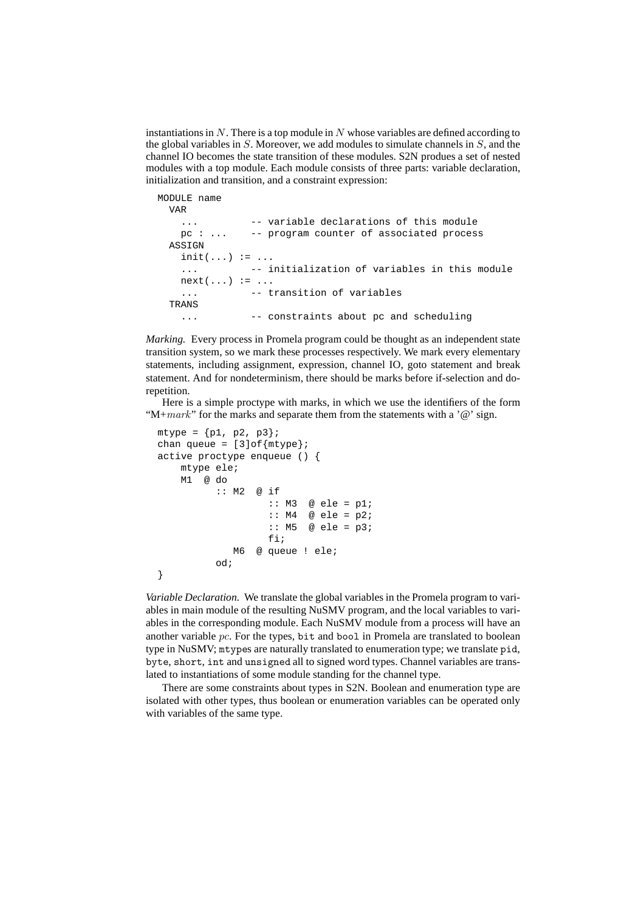instantiations in  $N$ . There is a top module in  $N$  whose variables are defined according to the global variables in  $S$ . Moreover, we add modules to simulate channels in  $S$ , and the channel IO becomes the state transition of these modules. S2N produes a set of nested modules with a top module. Each module consists of three parts: variable declaration, initialization and transition, and a constraint expression:

```
MODULE name
 VAR
   ... -- variable declarations of this module
   pc : ... -- program counter of associated process
 ASSIGN
   init(...) := ...... -- initialization of variables in this module
   next(...) := ...... -- transition of variables
 TRANS
   ... -- constraints about pc and scheduling
```
*Marking.* Every process in Promela program could be thought as an independent state transition system, so we mark these processes respectively. We mark every elementary statements, including assignment, expression, channel IO, goto statement and break statement. And for nondeterminism, there should be marks before if-selection and dorepetition.

Here is a simple proctype with marks, in which we use the identifiers of the form "M+ $mark$ " for the marks and separate them from the statements with a ' $@$ ' sign.

```
mtype = {p1, p2, p3};chan queue = [3]of{mtype};
active proctype enqueue () {
    mtype ele;
    M1 @ do
          :: M2 @ if
                    :: M3 @ ele = p1;
                    :: M4 \quad @e1e = p2;:: M5 \text{ @ ele = p3};fi;
             M6 @ queue ! ele;
          od;
}
```
*Variable Declaration.* We translate the global variables in the Promela program to variables in main module of the resulting NuSMV program, and the local variables to variables in the corresponding module. Each NuSMV module from a process will have an another variable  $pc$ . For the types, bit and bool in Promela are translated to boolean type in NuSMV; mtypes are naturally translated to enumeration type; we translate pid, byte, short, int and unsigned all to signed word types. Channel variables are translated to instantiations of some module standing for the channel type.

There are some constraints about types in S2N. Boolean and enumeration type are isolated with other types, thus boolean or enumeration variables can be operated only with variables of the same type.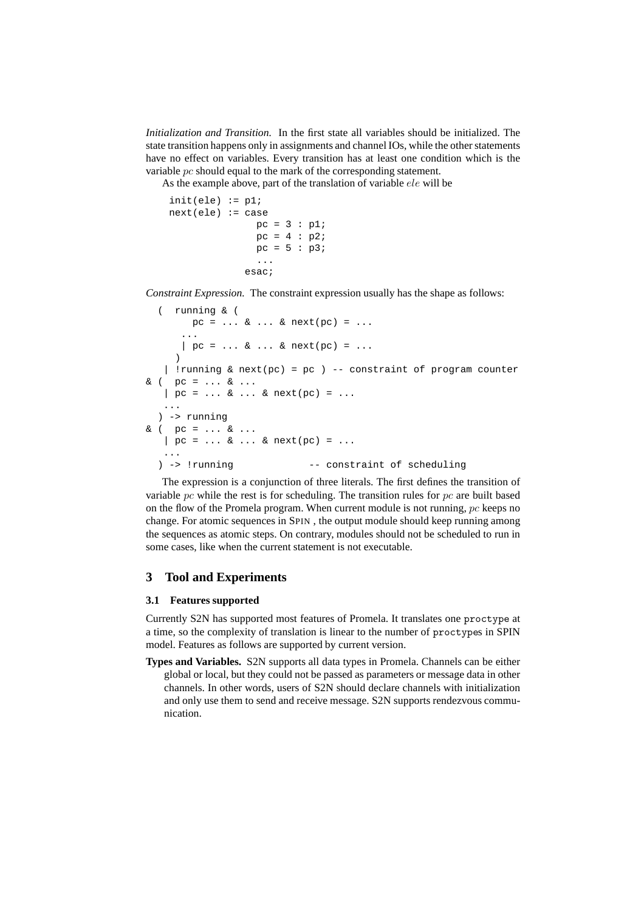*Initialization and Transition.* In the first state all variables should be initialized. The state transition happens only in assignments and channel IOs, while the other statements have no effect on variables. Every transition has at least one condition which is the variable pc should equal to the mark of the corresponding statement.

As the example above, part of the translation of variable ele will be

 $init(ele) := p1;$  $next(ele) := case$  $pc = 3 : p1;$  $pc = 4 : p2;$  $pc = 5 : p3;$ ... esac;

*Constraint Expression.* The constraint expression usually has the shape as follows:

```
( running & (
       pc = ... & ... & next(pc) = ...
      ...
      | pc = ... & . . . & ... & next(pc) = ...
     \left( \right)| !running & next(pc) = pc ) -- constraint of program counter
& ( pc = ... & ...| pc = ... & ... & next(pc) = ...
   ...
  ) -> running
& ( pc = ... & ...| pc = ... & ... & next(pc) = ...
   ...
  ) -> !running -- constraint of scheduling
```
The expression is a conjunction of three literals. The first defines the transition of variable  $pc$  while the rest is for scheduling. The transition rules for  $pc$  are built based on the flow of the Promela program. When current module is not running,  $pc$  keeps no change. For atomic sequences in SPIN , the output module should keep running among the sequences as atomic steps. On contrary, modules should not be scheduled to run in some cases, like when the current statement is not executable.

## **3 Tool and Experiments**

#### **3.1 Features supported**

Currently S2N has supported most features of Promela. It translates one proctype at a time, so the complexity of translation is linear to the number of proctypes in SPIN model. Features as follows are supported by current version.

**Types and Variables.** S2N supports all data types in Promela. Channels can be either global or local, but they could not be passed as parameters or message data in other channels. In other words, users of S2N should declare channels with initialization and only use them to send and receive message. S2N supports rendezvous communication.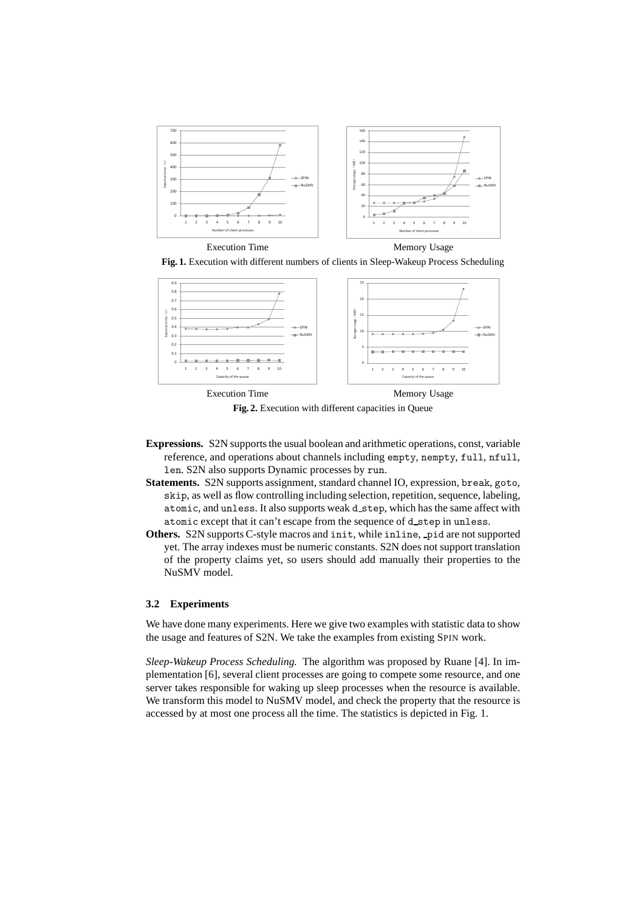





**Fig. 2.** Execution with different capacities in Queue

- **Expressions.** S2N supports the usual boolean and arithmetic operations, const, variable reference, and operations about channels including empty, nempty, full, nfull, len. S2N also supports Dynamic processes by run.
- **Statements.** S2N supports assignment, standard channel IO, expression, break, goto, skip, as well as flow controlling including selection, repetition, sequence, labeling, atomic, and unless. It also supports weak d step, which has the same affect with atomic except that it can't escape from the sequence of d\_step in unless.
- **Others.** S2N supports C-style macros and init, while inline, pid are not supported yet. The array indexes must be numeric constants. S2N does not support translation of the property claims yet, so users should add manually their properties to the NuSMV model.

#### **3.2 Experiments**

We have done many experiments. Here we give two examples with statistic data to show the usage and features of S2N. We take the examples from existing SPIN work.

*Sleep-Wakeup Process Scheduling.* The algorithm was proposed by Ruane [4]. In implementation [6], several client processes are going to compete some resource, and one server takes responsible for waking up sleep processes when the resource is available. We transform this model to NuSMV model, and check the property that the resource is accessed by at most one process all the time. The statistics is depicted in Fig. 1.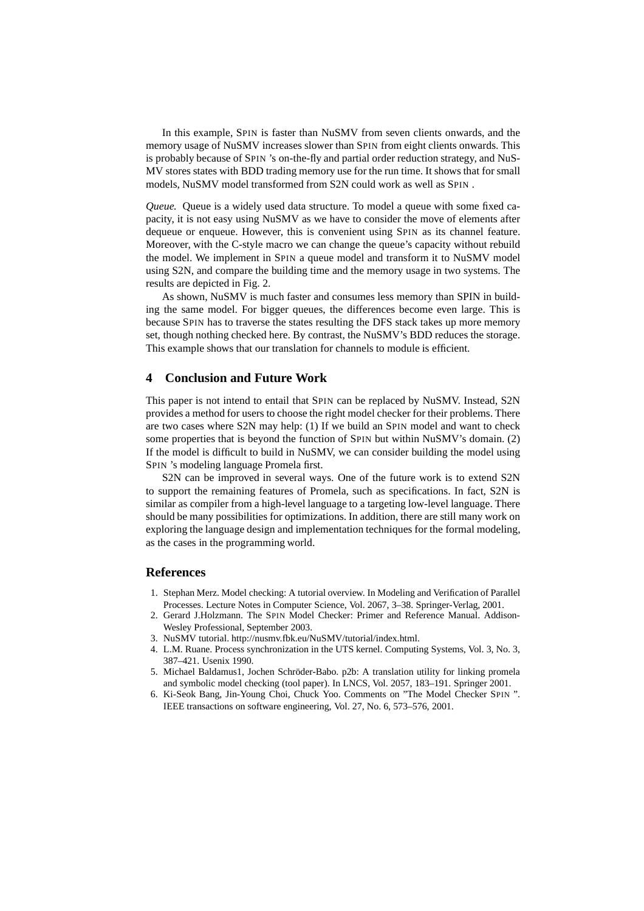In this example, SPIN is faster than NuSMV from seven clients onwards, and the memory usage of NuSMV increases slower than SPIN from eight clients onwards. This is probably because of SPIN 's on-the-fly and partial order reduction strategy, and NuS-MV stores states with BDD trading memory use for the run time. It shows that for small models, NuSMV model transformed from S2N could work as well as SPIN .

*Queue.* Queue is a widely used data structure. To model a queue with some fixed capacity, it is not easy using NuSMV as we have to consider the move of elements after dequeue or enqueue. However, this is convenient using SPIN as its channel feature. Moreover, with the C-style macro we can change the queue's capacity without rebuild the model. We implement in SPIN a queue model and transform it to NuSMV model using S2N, and compare the building time and the memory usage in two systems. The results are depicted in Fig. 2.

As shown, NuSMV is much faster and consumes less memory than SPIN in building the same model. For bigger queues, the differences become even large. This is because SPIN has to traverse the states resulting the DFS stack takes up more memory set, though nothing checked here. By contrast, the NuSMV's BDD reduces the storage. This example shows that our translation for channels to module is efficient.

## **4 Conclusion and Future Work**

This paper is not intend to entail that SPIN can be replaced by NuSMV. Instead, S2N provides a method for users to choose the right model checker for their problems. There are two cases where S2N may help: (1) If we build an SPIN model and want to check some properties that is beyond the function of SPIN but within NuSMV's domain. (2) If the model is difficult to build in NuSMV, we can consider building the model using SPIN 's modeling language Promela first.

S2N can be improved in several ways. One of the future work is to extend S2N to support the remaining features of Promela, such as specifications. In fact, S2N is similar as compiler from a high-level language to a targeting low-level language. There should be many possibilities for optimizations. In addition, there are still many work on exploring the language design and implementation techniques for the formal modeling, as the cases in the programming world.

#### **References**

- 1. Stephan Merz. Model checking: A tutorial overview. In Modeling and Verification of Parallel Processes. Lecture Notes in Computer Science, Vol. 2067, 3–38. Springer-Verlag, 2001.
- 2. Gerard J.Holzmann. The SPIN Model Checker: Primer and Reference Manual. Addison-Wesley Professional, September 2003.
- 3. NuSMV tutorial. http://nusmv.fbk.eu/NuSMV/tutorial/index.html.
- 4. L.M. Ruane. Process synchronization in the UTS kernel. Computing Systems, Vol. 3, No. 3, 387–421. Usenix 1990.
- 5. Michael Baldamus1, Jochen Schröder-Babo. p2b: A translation utility for linking promela and symbolic model checking (tool paper). In LNCS, Vol. 2057, 183–191. Springer 2001.
- 6. Ki-Seok Bang, Jin-Young Choi, Chuck Yoo. Comments on "The Model Checker SPIN ". IEEE transactions on software engineering, Vol. 27, No. 6, 573–576, 2001.